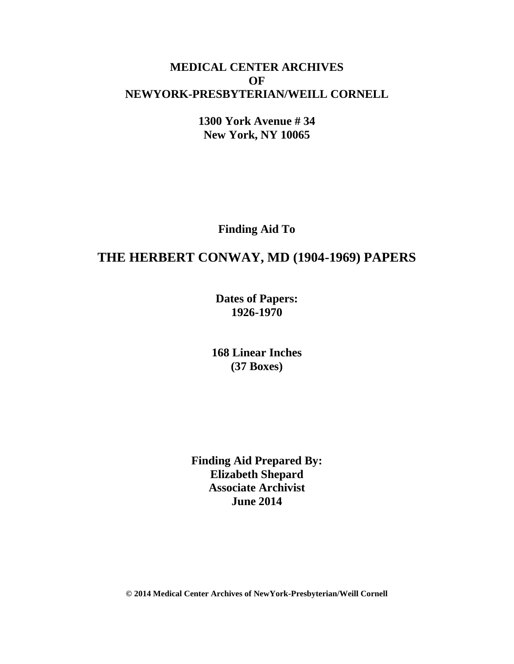# **MEDICAL CENTER ARCHIVES OF NEWYORK-PRESBYTERIAN/WEILL CORNELL**

**1300 York Avenue # 34 New York, NY 10065**

**Finding Aid To**

# **THE HERBERT CONWAY, MD (1904-1969) PAPERS**

**Dates of Papers: 1926-1970**

**168 Linear Inches (37 Boxes)**

**Finding Aid Prepared By: Elizabeth Shepard Associate Archivist June 2014**

**© 2014 Medical Center Archives of NewYork-Presbyterian/Weill Cornell**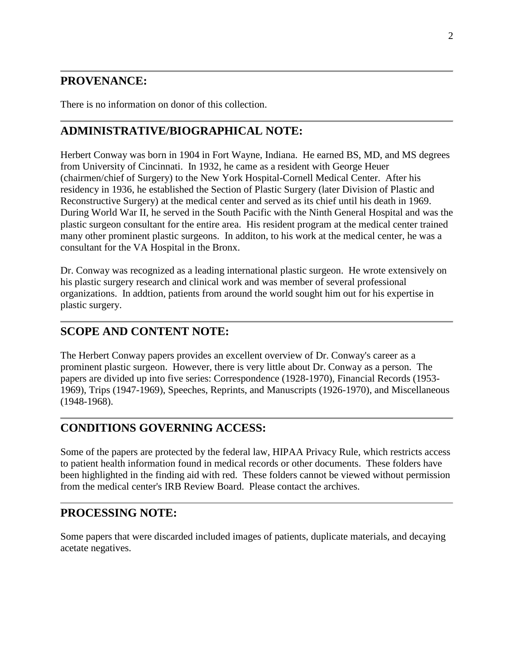# **PROVENANCE:**

There is no information on donor of this collection.

# **ADMINISTRATIVE/BIOGRAPHICAL NOTE:**

Herbert Conway was born in 1904 in Fort Wayne, Indiana. He earned BS, MD, and MS degrees from University of Cincinnati. In 1932, he came as a resident with George Heuer (chairmen/chief of Surgery) to the New York Hospital-Cornell Medical Center. After his residency in 1936, he established the Section of Plastic Surgery (later Division of Plastic and Reconstructive Surgery) at the medical center and served as its chief until his death in 1969. During World War II, he served in the South Pacific with the Ninth General Hospital and was the plastic surgeon consultant for the entire area. His resident program at the medical center trained many other prominent plastic surgeons. In additon, to his work at the medical center, he was a consultant for the VA Hospital in the Bronx.

Dr. Conway was recognized as a leading international plastic surgeon. He wrote extensively on his plastic surgery research and clinical work and was member of several professional organizations. In addtion, patients from around the world sought him out for his expertise in plastic surgery.

# **SCOPE AND CONTENT NOTE:**

The Herbert Conway papers provides an excellent overview of Dr. Conway's career as a prominent plastic surgeon. However, there is very little about Dr. Conway as a person. The papers are divided up into five series: Correspondence (1928-1970), Financial Records (1953- 1969), Trips (1947-1969), Speeches, Reprints, and Manuscripts (1926-1970), and Miscellaneous (1948-1968).

# **CONDITIONS GOVERNING ACCESS:**

Some of the papers are protected by the federal law, HIPAA Privacy Rule, which restricts access to patient health information found in medical records or other documents. These folders have been highlighted in the finding aid with red. These folders cannot be viewed without permission from the medical center's IRB Review Board. Please contact the archives.

# **PROCESSING NOTE:**

Some papers that were discarded included images of patients, duplicate materials, and decaying acetate negatives.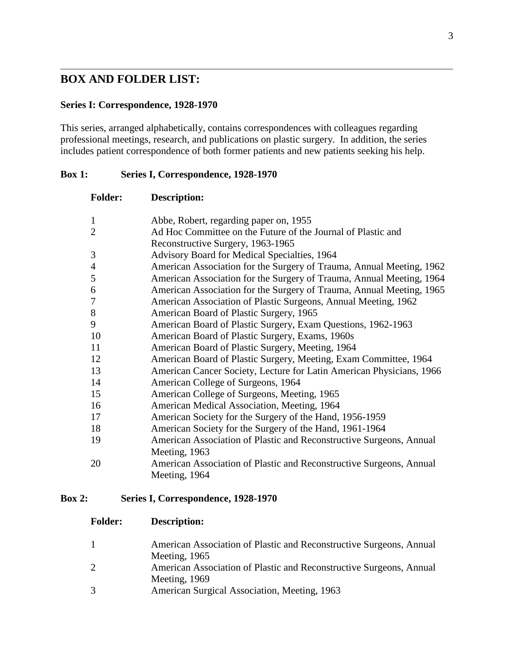## **BOX AND FOLDER LIST:**

#### **Series I: Correspondence, 1928-1970**

This series, arranged alphabetically, contains correspondences with colleagues regarding professional meetings, research, and publications on plastic surgery. In addition, the series includes patient correspondence of both former patients and new patients seeking his help.

#### **Box 1: Series I, Correspondence, 1928-1970**

| <b>Folder:</b> | <b>Description:</b>                                                  |
|----------------|----------------------------------------------------------------------|
| $\mathbf{1}$   | Abbe, Robert, regarding paper on, 1955                               |
| $\overline{2}$ | Ad Hoc Committee on the Future of the Journal of Plastic and         |
|                | Reconstructive Surgery, 1963-1965                                    |
| 3              | Advisory Board for Medical Specialties, 1964                         |
| $\overline{4}$ | American Association for the Surgery of Trauma, Annual Meeting, 1962 |
| 5              | American Association for the Surgery of Trauma, Annual Meeting, 1964 |
| 6              | American Association for the Surgery of Trauma, Annual Meeting, 1965 |
| 7              | American Association of Plastic Surgeons, Annual Meeting, 1962       |
| 8              | American Board of Plastic Surgery, 1965                              |
| 9              | American Board of Plastic Surgery, Exam Questions, 1962-1963         |
| 10             | American Board of Plastic Surgery, Exams, 1960s                      |
| 11             | American Board of Plastic Surgery, Meeting, 1964                     |
| 12             | American Board of Plastic Surgery, Meeting, Exam Committee, 1964     |
| 13             | American Cancer Society, Lecture for Latin American Physicians, 1966 |
| 14             | American College of Surgeons, 1964                                   |
| 15             | American College of Surgeons, Meeting, 1965                          |
| 16             | American Medical Association, Meeting, 1964                          |
| 17             | American Society for the Surgery of the Hand, 1956-1959              |
| 18             | American Society for the Surgery of the Hand, 1961-1964              |
| 19             | American Association of Plastic and Reconstructive Surgeons, Annual  |
|                | Meeting, 1963                                                        |
| 20             | American Association of Plastic and Reconstructive Surgeons, Annual  |
|                | Meeting, 1964                                                        |

#### **Box 2: Series I, Correspondence, 1928-1970**

| American Association of Plastic and Reconstructive Surgeons, Annual |
|---------------------------------------------------------------------|
| Meeting, 1965                                                       |

- American Association of Plastic and Reconstructive Surgeons, Annual Meeting, 1969
- American Surgical Association, Meeting, 1963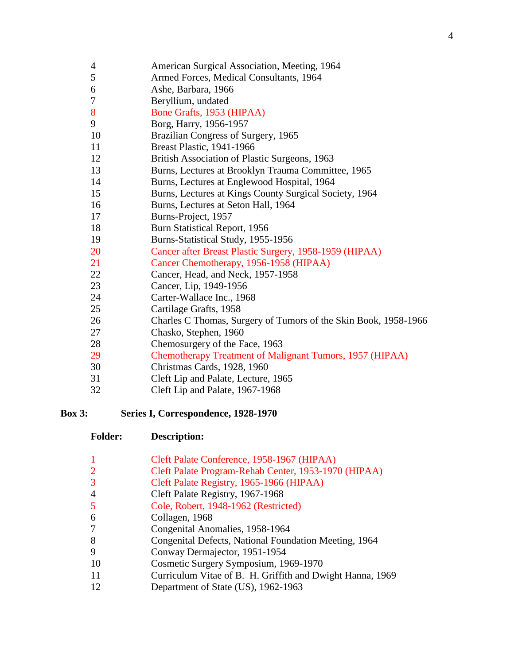| $\overline{4}$   | American Surgical Association, Meeting, 1964                    |
|------------------|-----------------------------------------------------------------|
| $\mathfrak s$    | Armed Forces, Medical Consultants, 1964                         |
| 6                | Ashe, Barbara, 1966                                             |
| $\boldsymbol{7}$ | Beryllium, undated                                              |
| 8                | Bone Grafts, 1953 (HIPAA)                                       |
| 9                | Borg, Harry, 1956-1957                                          |
| 10               | Brazilian Congress of Surgery, 1965                             |
| 11               | <b>Breast Plastic, 1941-1966</b>                                |
| 12               | British Association of Plastic Surgeons, 1963                   |
| 13               | Burns, Lectures at Brooklyn Trauma Committee, 1965              |
| 14               | Burns, Lectures at Englewood Hospital, 1964                     |
| 15               | Burns, Lectures at Kings County Surgical Society, 1964          |
| 16               | Burns, Lectures at Seton Hall, 1964                             |
| 17               | Burns-Project, 1957                                             |
| 18               | Burn Statistical Report, 1956                                   |
| 19               | Burns-Statistical Study, 1955-1956                              |
| 20               | Cancer after Breast Plastic Surgery, 1958-1959 (HIPAA)          |
| 21               | Cancer Chemotherapy, 1956-1958 (HIPAA)                          |
| 22               | Cancer, Head, and Neck, 1957-1958                               |
| 23               | Cancer, Lip, 1949-1956                                          |
| 24               | Carter-Wallace Inc., 1968                                       |
| 25               | Cartilage Grafts, 1958                                          |
| 26               | Charles C Thomas, Surgery of Tumors of the Skin Book, 1958-1966 |
| 27               | Chasko, Stephen, 1960                                           |
| 28               | Chemosurgery of the Face, 1963                                  |
| 29               | Chemotherapy Treatment of Malignant Tumors, 1957 (HIPAA)        |
| 30               | Christmas Cards, 1928, 1960                                     |
| 31               | Cleft Lip and Palate, Lecture, 1965                             |
| 32               | Cleft Lip and Palate, 1967-1968                                 |

**Box 3: Series I, Correspondence, 1928-1970**

| Cleft Palate Conference, 1958-1967 (HIPAA) |  |  |
|--------------------------------------------|--|--|
|--------------------------------------------|--|--|

- Cleft Palate Program-Rehab Center, 1953-1970 (HIPAA)
- Cleft Palate Registry, 1965-1966 (HIPAA)
- Cleft Palate Registry, 1967-1968
- Cole, Robert, 1948-1962 (Restricted)
- Collagen, 1968
- Congenital Anomalies, 1958-1964
- Congenital Defects, National Foundation Meeting, 1964
- Conway Dermajector, 1951-1954
- Cosmetic Surgery Symposium, 1969-1970
- Curriculum Vitae of B. H. Griffith and Dwight Hanna, 1969
- 12 Department of State (US), 1962-1963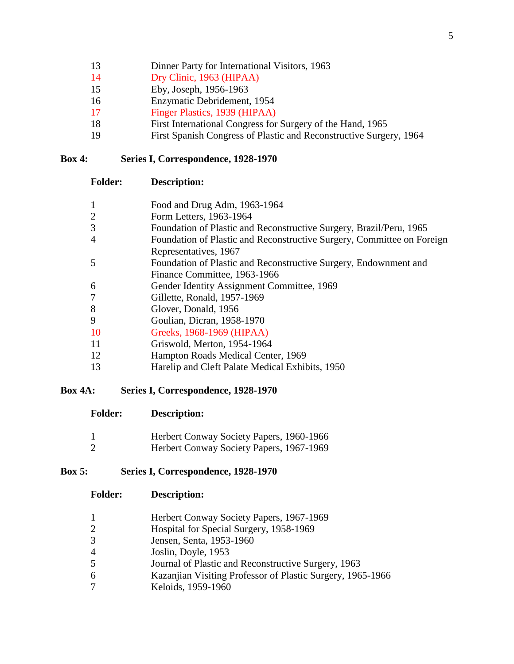- 13 Dinner Party for International Visitors, 1963
- Dry Clinic, 1963 (HIPAA)
- Eby, Joseph, 1956-1963
- Enzymatic Debridement, 1954
- Finger Plastics, 1939 (HIPAA)
- First International Congress for Surgery of the Hand, 1965
- First Spanish Congress of Plastic and Reconstructive Surgery, 1964

#### **Box 4: Series I, Correspondence, 1928-1970**

| <b>Folder:</b> | <b>Description:</b> |
|----------------|---------------------|
|----------------|---------------------|

| 1              | Food and Drug Adm, 1963-1964                                           |
|----------------|------------------------------------------------------------------------|
| $\overline{2}$ | Form Letters, 1963-1964                                                |
| 3              | Foundation of Plastic and Reconstructive Surgery, Brazil/Peru, 1965    |
| $\overline{4}$ | Foundation of Plastic and Reconstructive Surgery, Committee on Foreign |
|                | Representatives, 1967                                                  |
| 5              | Foundation of Plastic and Reconstructive Surgery, Endownment and       |
|                | Finance Committee, 1963-1966                                           |
| 6              | Gender Identity Assignment Committee, 1969                             |
| $\overline{7}$ | Gillette, Ronald, 1957-1969                                            |
| 8              | Glover, Donald, 1956                                                   |
| 9              | Goulian, Dicran, 1958-1970                                             |
| -10            | Greeks, 1968-1969 (HIPAA)                                              |
| -11            | Griswold, Merton, 1954-1964                                            |
| 12             | Hampton Roads Medical Center, 1969                                     |
| 13             | Harelip and Cleft Palate Medical Exhibits, 1950                        |

## **Box 4A: Series I, Correspondence, 1928-1970**

| <b>Folder:</b> | Description: |
|----------------|--------------|
|                |              |

- Herbert Conway Society Papers, 1960-1966
- Herbert Conway Society Papers, 1967-1969

## **Box 5: Series I, Correspondence, 1928-1970**

- **Folder: Description:**
	- Herbert Conway Society Papers, 1967-1969
	- Hospital for Special Surgery, 1958-1969
- Jensen, Senta, 1953-1960
- Joslin, Doyle, 1953
- Journal of Plastic and Reconstructive Surgery, 1963
- Kazanjian Visiting Professor of Plastic Surgery, 1965-1966
- Keloids, 1959-1960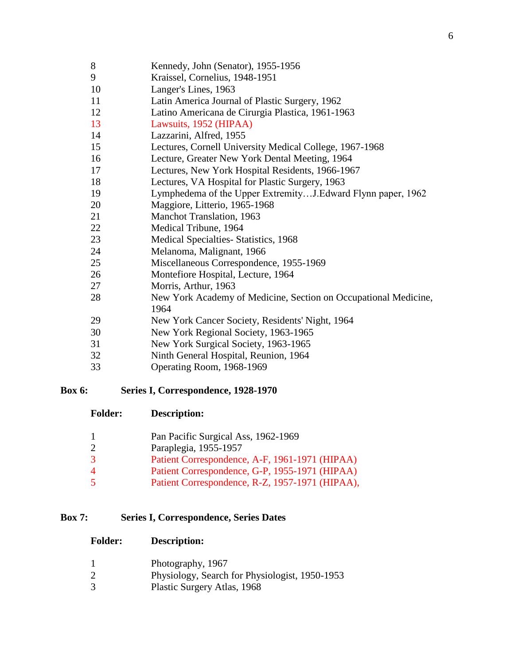- Kennedy, John (Senator), 1955-1956
- Kraissel, Cornelius, 1948-1951
- Langer's Lines, 1963
- Latin America Journal of Plastic Surgery, 1962
- Latino Americana de Cirurgia Plastica, 1961-1963
- Lawsuits, 1952 (HIPAA)
- Lazzarini, Alfred, 1955
- Lectures, Cornell University Medical College, 1967-1968
- Lecture, Greater New York Dental Meeting, 1964
- Lectures, New York Hospital Residents, 1966-1967
- Lectures, VA Hospital for Plastic Surgery, 1963
- Lymphedema of the Upper Extremity…J.Edward Flynn paper, 1962
- Maggiore, Litterio, 1965-1968
- Manchot Translation, 1963
- Medical Tribune, 1964
- Medical Specialties- Statistics, 1968
- Melanoma, Malignant, 1966
- Miscellaneous Correspondence, 1955-1969
- Montefiore Hospital, Lecture, 1964
- Morris, Arthur, 1963
- New York Academy of Medicine, Section on Occupational Medicine,
- New York Cancer Society, Residents' Night, 1964
- New York Regional Society, 1963-1965
- New York Surgical Society, 1963-1965
- Ninth General Hospital, Reunion, 1964
- Operating Room, 1968-1969

#### **Box 6: Series I, Correspondence, 1928-1970**

**Folder: Description:**

|   | Pan Pacific Surgical Ass, 1962-1969             |
|---|-------------------------------------------------|
|   | Paraplegia, 1955-1957                           |
| 3 | Patient Correspondence, A-F, 1961-1971 (HIPAA)  |
| 4 | Patient Correspondence, G-P, 1955-1971 (HIPAA)  |
| 5 | Patient Correspondence, R-Z, 1957-1971 (HIPAA), |

#### **Box 7: Series I, Correspondence, Series Dates**

- Photography, 1967
- Physiology, Search for Physiologist, 1950-1953
- Plastic Surgery Atlas, 1968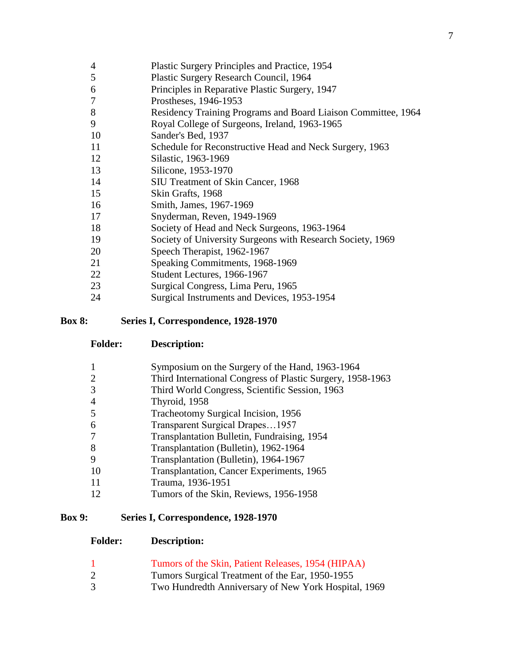- Plastic Surgery Principles and Practice, 1954
- Plastic Surgery Research Council, 1964
- Principles in Reparative Plastic Surgery, 1947
- Prostheses, 1946-1953
- Residency Training Programs and Board Liaison Committee, 1964
- Royal College of Surgeons, Ireland, 1963-1965
- Sander's Bed, 1937
- Schedule for Reconstructive Head and Neck Surgery, 1963
- Silastic, 1963-1969
- Silicone, 1953-1970
- SIU Treatment of Skin Cancer, 1968
- Skin Grafts, 1968
- Smith, James, 1967-1969
- Snyderman, Reven, 1949-1969
- Society of Head and Neck Surgeons, 1963-1964
- Society of University Surgeons with Research Society, 1969
- Speech Therapist, 1962-1967
- Speaking Commitments, 1968-1969
- Student Lectures, 1966-1967
- Surgical Congress, Lima Peru, 1965
- Surgical Instruments and Devices, 1953-1954

#### **Box 8: Series I, Correspondence, 1928-1970**

- **Folder: Description:**
- Symposium on the Surgery of the Hand, 1963-1964
- Third International Congress of Plastic Surgery, 1958-1963
- Third World Congress, Scientific Session, 1963
- Thyroid, 1958
- Tracheotomy Surgical Incision, 1956
- Transparent Surgical Drapes…1957
- Transplantation Bulletin, Fundraising, 1954
- Transplantation (Bulletin), 1962-1964
- Transplantation (Bulletin), 1964-1967
- Transplantation, Cancer Experiments, 1965
- Trauma, 1936-1951
- Tumors of the Skin, Reviews, 1956-1958

#### **Box 9: Series I, Correspondence, 1928-1970**

- Tumors of the Skin, Patient Releases, 1954 (HIPAA)
- Tumors Surgical Treatment of the Ear, 1950-1955
- Two Hundredth Anniversary of New York Hospital, 1969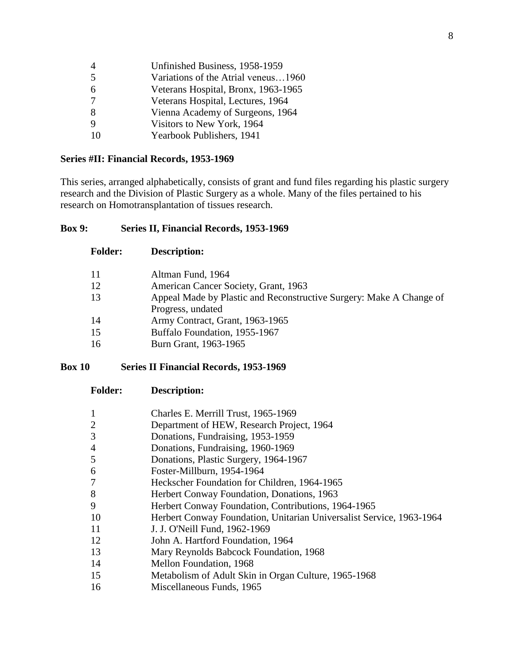| $\overline{4}$ | Unfinished Business, 1958-1959      |
|----------------|-------------------------------------|
| $\overline{5}$ | Variations of the Atrial veneus1960 |
| 6              | Veterans Hospital, Bronx, 1963-1965 |
|                | Veterans Hospital, Lectures, 1964   |
| 8              | Vienna Academy of Surgeons, 1964    |
| 9              | Visitors to New York, 1964          |
| 10             | Yearbook Publishers, 1941           |

## **Series #II: Financial Records, 1953-1969**

**Folder: Description:**

This series, arranged alphabetically, consists of grant and fund files regarding his plastic surgery research and the Division of Plastic Surgery as a whole. Many of the files pertained to his research on Homotransplantation of tissues research.

#### **Box 9: Series II, Financial Records, 1953-1969**

| 11 | Altman Fund, 1964                                                   |
|----|---------------------------------------------------------------------|
| 12 | American Cancer Society, Grant, 1963                                |
| 13 | Appeal Made by Plastic and Reconstructive Surgery: Make A Change of |
|    | Progress, undated                                                   |
| 14 | Army Contract, Grant, 1963-1965                                     |
| 15 | Buffalo Foundation, 1955-1967                                       |
| 16 | Burn Grant, 1963-1965                                               |
|    |                                                                     |

## **Box 10 Series II Financial Records, 1953-1969**

| 1              | Charles E. Merrill Trust, 1965-1969                                  |
|----------------|----------------------------------------------------------------------|
| $\overline{2}$ | Department of HEW, Research Project, 1964                            |
| 3              | Donations, Fundraising, 1953-1959                                    |
| 4              | Donations, Fundraising, 1960-1969                                    |
| 5              | Donations, Plastic Surgery, 1964-1967                                |
| 6              | Foster-Millburn, 1954-1964                                           |
| 7              | Heckscher Foundation for Children, 1964-1965                         |
| 8              | Herbert Conway Foundation, Donations, 1963                           |
| 9              | Herbert Conway Foundation, Contributions, 1964-1965                  |
| 10             | Herbert Conway Foundation, Unitarian Universalist Service, 1963-1964 |
| 11             | J. J. O'Neill Fund, 1962-1969                                        |
| 12             | John A. Hartford Foundation, 1964                                    |
| 13             | Mary Reynolds Babcock Foundation, 1968                               |
| 14             | Mellon Foundation, 1968                                              |
| 15             | Metabolism of Adult Skin in Organ Culture, 1965-1968                 |
| 16             | Miscellaneous Funds, 1965                                            |
|                |                                                                      |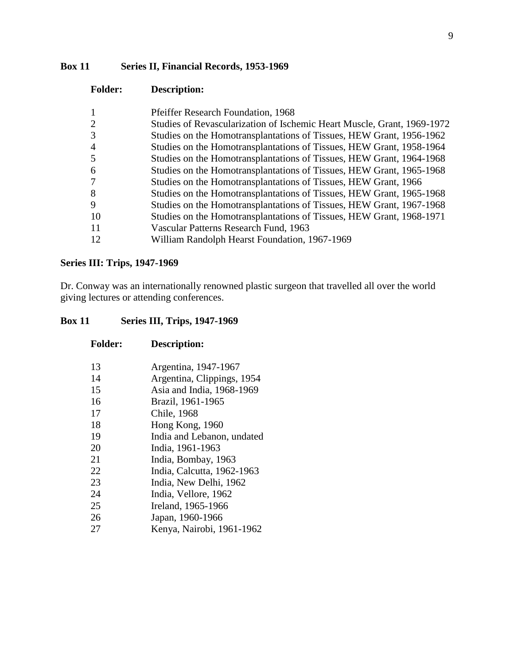## **Box 11 Series II, Financial Records, 1953-1969**

| <b>Folder:</b> | Description:                                                            |
|----------------|-------------------------------------------------------------------------|
|                | Pfeiffer Research Foundation, 1968                                      |
|                | Studies of Revascularization of Ischemic Heart Muscle, Grant, 1969-1972 |
| 3              | Studies on the Homotransplantations of Tissues, HEW Grant, 1956-1962    |
|                | Studies on the Homotransplantations of Tissues, HEW Grant, 1958-1964    |
|                | Studies on the Homotransplantations of Tissues, HEW Grant, 1964-1968    |
| 6              | Studies on the Homotransplantations of Tissues, HEW Grant, 1965-1968    |
|                | Studies on the Homotransplantations of Tissues, HEW Grant, 1966         |
| 8              | Studies on the Homotransplantations of Tissues, HEW Grant, 1965-1968    |
|                | Studies on the Homotransplantations of Tissues, HEW Grant, 1967-1968    |
| 10             | Studies on the Homotransplantations of Tissues, HEW Grant, 1968-1971    |
|                | Vascular Patterns Research Fund, 1963                                   |
| 12             | William Randolph Hearst Foundation, 1967-1969                           |

#### **Series III: Trips, 1947-1969**

Dr. Conway was an internationally renowned plastic surgeon that travelled all over the world giving lectures or attending conferences.

#### **Box 11 Series III, Trips, 1947-1969**

| 1 viucle | рсенише                    |
|----------|----------------------------|
| 13       | Argentina, 1947-1967       |
| 14       | Argentina, Clippings, 1954 |
| 15       | Asia and India, 1968-1969  |
| 16       | Brazil, 1961-1965          |
| 17       | Chile, 1968                |
| 18       | Hong Kong, 1960            |
| 19       | India and Lebanon, undated |
| 20       | India, 1961-1963           |
| 21       | India, Bombay, 1963        |
| 22       | India, Calcutta, 1962-1963 |
| 23       | India, New Delhi, 1962     |
| 24       | India, Vellore, 1962       |
| 25       | Ireland, 1965-1966         |
| 26       | Japan, 1960-1966           |
| 27       | Kenya, Nairobi, 1961-1962  |
|          |                            |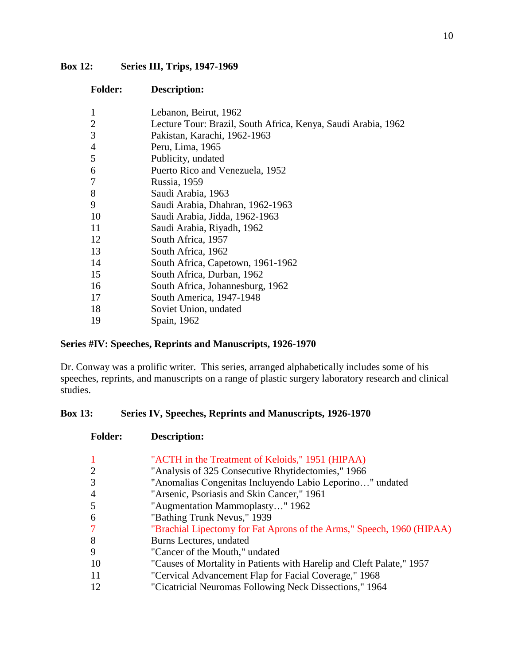## **Box 12: Series III, Trips, 1947-1969**

| <b>Folder:</b> | Description:                                                  |
|----------------|---------------------------------------------------------------|
| 1              | Lebanon, Beirut, 1962                                         |
| $\overline{2}$ | Lecture Tour: Brazil, South Africa, Kenya, Saudi Arabia, 1962 |
| 3              | Pakistan, Karachi, 1962-1963                                  |
| $\overline{4}$ | Peru, Lima, 1965                                              |
| 5              | Publicity, undated                                            |
| 6              | Puerto Rico and Venezuela, 1952                               |
| 7              | Russia, 1959                                                  |
| 8              | Saudi Arabia, 1963                                            |
| 9              | Saudi Arabia, Dhahran, 1962-1963                              |
| 10             | Saudi Arabia, Jidda, 1962-1963                                |
| 11             | Saudi Arabia, Riyadh, 1962                                    |
| 12             | South Africa, 1957                                            |
| 13             | South Africa, 1962                                            |
| 14             | South Africa, Capetown, 1961-1962                             |
| 15             | South Africa, Durban, 1962                                    |
| 16             | South Africa, Johannesburg, 1962                              |
| 17             | South America, 1947-1948                                      |
| 18             | Soviet Union, undated                                         |
| 19             | Spain, 1962                                                   |

## **Series #IV: Speeches, Reprints and Manuscripts, 1926-1970**

Dr. Conway was a prolific writer. This series, arranged alphabetically includes some of his speeches, reprints, and manuscripts on a range of plastic surgery laboratory research and clinical studies.

## **Box 13: Series IV, Speeches, Reprints and Manuscripts, 1926-1970**

| <b>Folder:</b> | <b>Description:</b>                                                   |
|----------------|-----------------------------------------------------------------------|
| $\mathbf{1}$   | "ACTH in the Treatment of Keloids," 1951 (HIPAA)                      |
| $\overline{2}$ | "Analysis of 325 Consecutive Rhytidectomies," 1966                    |
| 3              | "Anomalias Congenitas Incluyendo Labio Leporino" undated              |
| $\overline{4}$ | "Arsenic, Psoriasis and Skin Cancer," 1961                            |
| 5              | "Augmentation Mammoplasty" 1962                                       |
| 6              | "Bathing Trunk Nevus," 1939                                           |
| $\overline{7}$ | "Brachial Lipectomy for Fat Aprons of the Arms," Speech, 1960 (HIPAA) |
| 8              | Burns Lectures, undated                                               |
| 9              | "Cancer of the Mouth," undated                                        |
| 10             | "Causes of Mortality in Patients with Harelip and Cleft Palate," 1957 |
| 11             | "Cervical Advancement Flap for Facial Coverage," 1968                 |
| 12             | "Cicatricial Neuromas Following Neck Dissections," 1964               |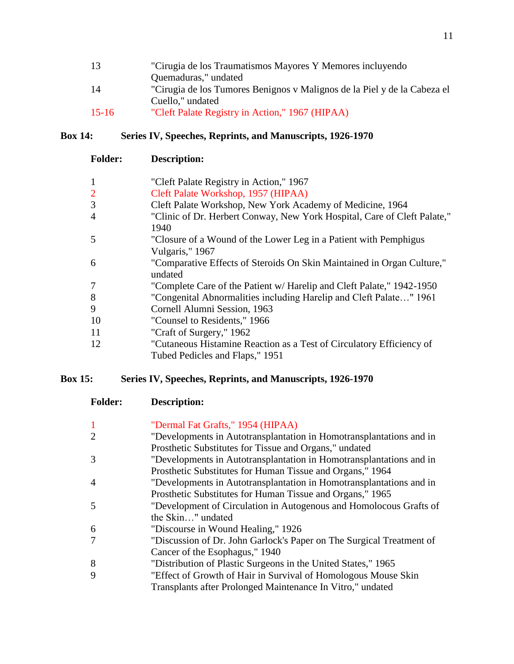| "Cirugia de los Traumatismos Mayores Y Memores incluyendo                |
|--------------------------------------------------------------------------|
| Quemaduras," undated                                                     |
| "Cirugia de los Tumores Benignos y Malignos de la Piel y de la Cabeza el |
| Cuello," undated                                                         |
| "Cleft Palate Registry in Action," 1967 (HIPAA)                          |
|                                                                          |

#### **Box 14: Series IV, Speeches, Reprints, and Manuscripts, 1926-1970**

| <b>Folder:</b> | <b>Description:</b>                                                               |
|----------------|-----------------------------------------------------------------------------------|
| $\mathbf{1}$   | "Cleft Palate Registry in Action," 1967                                           |
| $\overline{2}$ | Cleft Palate Workshop, 1957 (HIPAA)                                               |
| 3              | Cleft Palate Workshop, New York Academy of Medicine, 1964                         |
| $\overline{4}$ | "Clinic of Dr. Herbert Conway, New York Hospital, Care of Cleft Palate,"          |
|                | 1940                                                                              |
| 5              | "Closure of a Wound of the Lower Leg in a Patient with Pemphigus                  |
|                | Vulgaris," 1967                                                                   |
| 6              | "Comparative Effects of Steroids On Skin Maintained in Organ Culture,"<br>undated |
| 7              | "Complete Care of the Patient w/ Harelip and Cleft Palate," 1942-1950             |
| 8              | "Congenital Abnormalities including Harelip and Cleft Palate" 1961                |
| 9              | Cornell Alumni Session, 1963                                                      |
| 10             | "Counsel to Residents," 1966                                                      |
| 11             | "Craft of Surgery," 1962                                                          |
| 12             | "Cutaneous Histamine Reaction as a Test of Circulatory Efficiency of              |
|                | Tubed Pedicles and Flaps," 1951                                                   |

#### **Box 15: Series IV, Speeches, Reprints, and Manuscripts, 1926-1970**

| <b>Folder:</b> | <b>Description:</b>                                                 |
|----------------|---------------------------------------------------------------------|
|                | "Dermal Fat Grafts," 1954 (HIPAA)                                   |
|                | "Developments in Autotransplantation in Homotransplantations and in |
|                | Prosthetic Substitutes for Tissue and Organs," undated              |
|                | "Developments in Autotransplantation in Homotransplantations and in |
|                | Prosthetic Substitutes for Human Tissue and Organs," 1964           |

4 "Developments in Autotransplantation in Homotransplantations and in Prosthetic Substitutes for Human Tissue and Organs," 1965

- 5 "Development of Circulation in Autogenous and Homolocous Grafts of the Skin…" undated
- 6 "Discourse in Wound Healing," 1926
- 7 "Discussion of Dr. John Garlock's Paper on The Surgical Treatment of Cancer of the Esophagus," 1940
- 8 "Distribution of Plastic Surgeons in the United States," 1965
- 9 "Effect of Growth of Hair in Survival of Homologous Mouse Skin

Transplants after Prolonged Maintenance In Vitro," undated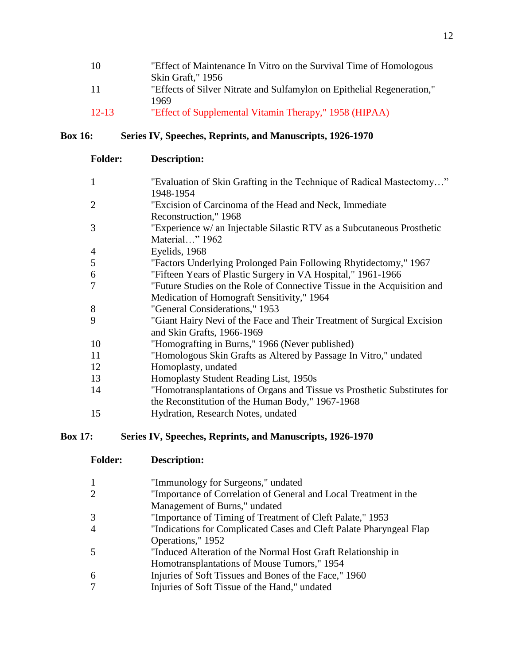| 10        | "Effect of Maintenance In Vitro on the Survival Time of Homologous     |
|-----------|------------------------------------------------------------------------|
|           | Skin Graft," 1956                                                      |
| 11        | "Effects of Silver Nitrate and Sulfamylon on Epithelial Regeneration," |
|           | 1969                                                                   |
| $12 - 13$ | "Effect of Supplemental Vitamin Therapy," 1958 (HIPAA)                 |

# **Box 16: Series IV, Speeches, Reprints, and Manuscripts, 1926-1970**

| <b>Description:</b>                                                                                                          |
|------------------------------------------------------------------------------------------------------------------------------|
| "Evaluation of Skin Grafting in the Technique of Radical Mastectomy"<br>1948-1954                                            |
| "Excision of Carcinoma of the Head and Neck, Immediate<br>Reconstruction," 1968                                              |
| "Experience w/ an Injectable Silastic RTV as a Subcutaneous Prosthetic<br>Material" 1962                                     |
| Eyelids, 1968                                                                                                                |
| "Factors Underlying Prolonged Pain Following Rhytidectomy," 1967                                                             |
| "Fifteen Years of Plastic Surgery in VA Hospital," 1961-1966                                                                 |
| "Future Studies on the Role of Connective Tissue in the Acquisition and<br>Medication of Homograft Sensitivity," 1964        |
| "General Considerations," 1953                                                                                               |
| "Giant Hairy Nevi of the Face and Their Treatment of Surgical Excision<br>and Skin Grafts, 1966-1969                         |
| "Homografting in Burns," 1966 (Never published)                                                                              |
| "Homologous Skin Grafts as Altered by Passage In Vitro," undated                                                             |
| Homoplasty, undated                                                                                                          |
| Homoplasty Student Reading List, 1950s                                                                                       |
| "Homotransplantations of Organs and Tissue vs Prosthetic Substitutes for<br>the Reconstitution of the Human Body," 1967-1968 |
| Hydration, Research Notes, undated                                                                                           |
|                                                                                                                              |

# **Box 17: Series IV, Speeches, Reprints, and Manuscripts, 1926-1970**

| <b>Folder:</b> | Description: |
|----------------|--------------|
|                |              |

| 1 | "Immunology for Surgeons," undated                                  |
|---|---------------------------------------------------------------------|
| 2 | "Importance of Correlation of General and Local Treatment in the    |
|   | Management of Burns," undated                                       |
| 3 | "Importance of Timing of Treatment of Cleft Palate," 1953           |
| 4 | "Indications for Complicated Cases and Cleft Palate Pharyngeal Flap |
|   | Operations," 1952                                                   |
| 5 | "Induced Alteration of the Normal Host Graft Relationship in        |
|   | Homotransplantations of Mouse Tumors," 1954                         |
| 6 | Injuries of Soft Tissues and Bones of the Face," 1960               |
| 7 | Injuries of Soft Tissue of the Hand," undated                       |
|   |                                                                     |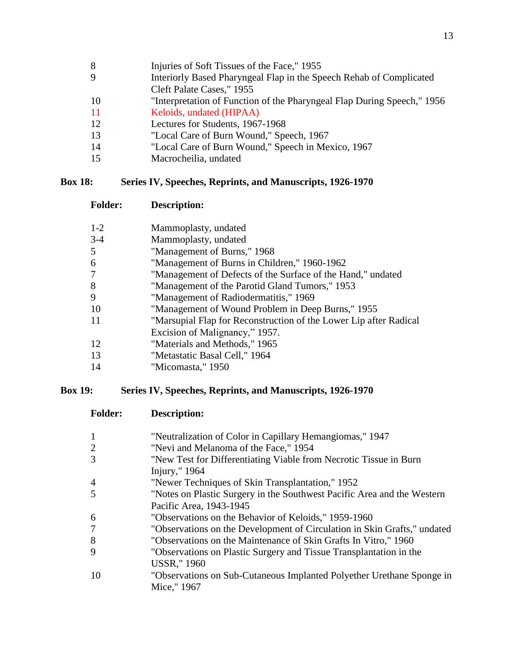- 
- Injuries of Soft Tissues of the Face," 1955
- Interiorly Based Pharyngeal Flap in the Speech Rehab of Complicated Cleft Palate Cases," 1955
- "Interpretation of Function of the Pharyngeal Flap During Speech," 1956
- Keloids, undated (HIPAA)
- Lectures for Students, 1967-1968
- "Local Care of Burn Wound," Speech, 1967
- "Local Care of Burn Wound," Speech in Mexico, 1967
- Macrocheilia, undated

## **Box 18: Series IV, Speeches, Reprints, and Manuscripts, 1926-1970**

**Folder: Description:**

| $1 - 2$        | Mammoplasty, undated                                              |
|----------------|-------------------------------------------------------------------|
| $3-4$          | Mammoplasty, undated                                              |
| 5              | "Management of Burns," 1968                                       |
| 6              | "Management of Burns in Children," 1960-1962                      |
| $\overline{7}$ | "Management of Defects of the Surface of the Hand," undated       |
| 8              | "Management of the Parotid Gland Tumors," 1953                    |
| 9              | "Management of Radiodermatitis," 1969                             |
| 10             | "Management of Wound Problem in Deep Burns," 1955                 |
| 11             | "Marsupial Flap for Reconstruction of the Lower Lip after Radical |
|                | Excision of Malignancy," 1957.                                    |
| 12             | "Materials and Methods," 1965                                     |
| 13             | "Metastatic Basal Cell," 1964                                     |
| -14            | "Micomasta," 1950                                                 |

## **Box 19: Series IV, Speeches, Reprints, and Manuscripts, 1926-1970**

| <b>Folder:</b> | Description:                                                             |
|----------------|--------------------------------------------------------------------------|
| 1              | "Neutralization of Color in Capillary Hemangiomas," 1947                 |
|                | "Nevi and Melanoma of the Face," 1954                                    |
| 3              | "New Test for Differentiating Viable from Necrotic Tissue in Burn        |
|                | Injury," 1964                                                            |
| $\overline{4}$ | "Newer Techniques of Skin Transplantation," 1952                         |
| 5              | "Notes on Plastic Surgery in the Southwest Pacific Area and the Western  |
|                | Pacific Area, 1943-1945                                                  |
| 6              | "Observations on the Behavior of Keloids," 1959-1960                     |
| 7              | "Observations on the Development of Circulation in Skin Grafts," undated |
| 8              | "Observations on the Maintenance of Skin Grafts In Vitro," 1960          |
| 9              | "Observations on Plastic Surgery and Tissue Transplantation in the       |
|                | <b>USSR,"</b> 1960                                                       |
| 10             | "Observations on Sub-Cutaneous Implanted Polyether Urethane Sponge in    |
|                | Mice," 1967                                                              |
|                |                                                                          |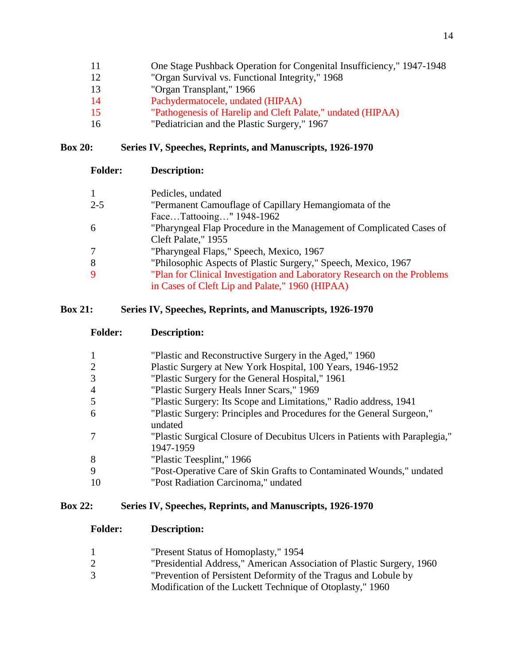| 11 |  |  | One Stage Pushback Operation for Congenital Insufficiency," 1947-1948 |  |
|----|--|--|-----------------------------------------------------------------------|--|
|    |  |  |                                                                       |  |

- "Organ Survival vs. Functional Integrity," 1968
- "Organ Transplant," 1966
- Pachydermatocele, undated (HIPAA)
- "Pathogenesis of Harelip and Cleft Palate," undated (HIPAA)
- "Pediatrician and the Plastic Surgery," 1967

# **Box 20: Series IV, Speeches, Reprints, and Manuscripts, 1926-1970**

| <b>Folder:</b> | <b>Description:</b>                                                      |
|----------------|--------------------------------------------------------------------------|
|                | Pedicles, undated                                                        |
| $2 - 5$        | "Permanent Camouflage of Capillary Hemangiomata of the                   |
|                | FaceTattooing" 1948-1962                                                 |
| -6             | "Pharyngeal Flap Procedure in the Management of Complicated Cases of     |
|                | Cleft Palate," 1955                                                      |
|                | "Pharyngeal Flaps," Speech, Mexico, 1967                                 |
| -8             | "Philosophic Aspects of Plastic Surgery," Speech, Mexico, 1967           |
| -9             | "Plan for Clinical Investigation and Laboratory Research on the Problems |
|                | in Cases of Cleft Lip and Palate," 1960 (HIPAA)                          |

## **Box 21: Series IV, Speeches, Reprints, and Manuscripts, 1926-1970**

| <b>Folder:</b> | Description: |
|----------------|--------------|
|                |              |

| 1  | "Plastic and Reconstructive Surgery in the Aged," 1960                                   |
|----|------------------------------------------------------------------------------------------|
| 2  | Plastic Surgery at New York Hospital, 100 Years, 1946-1952                               |
| 3  | "Plastic Surgery for the General Hospital," 1961                                         |
| 4  | "Plastic Surgery Heals Inner Scars," 1969                                                |
| 5  | "Plastic Surgery: Its Scope and Limitations," Radio address, 1941                        |
| 6  | "Plastic Surgery: Principles and Procedures for the General Surgeon,"<br>undated         |
|    | "Plastic Surgical Closure of Decubitus Ulcers in Patients with Paraplegia,"<br>1947-1959 |
| 8  | "Plastic Teesplint," 1966                                                                |
| 9  | "Post-Operative Care of Skin Grafts to Contaminated Wounds," undated                     |
| 10 | "Post Radiation Carcinoma," undated                                                      |

## **Box 22: Series IV, Speeches, Reprints, and Manuscripts, 1926-1970**

- "Present Status of Homoplasty," 1954
- "Presidential Address," American Association of Plastic Surgery, 1960
- "Prevention of Persistent Deformity of the Tragus and Lobule by
	- Modification of the Luckett Technique of Otoplasty," 1960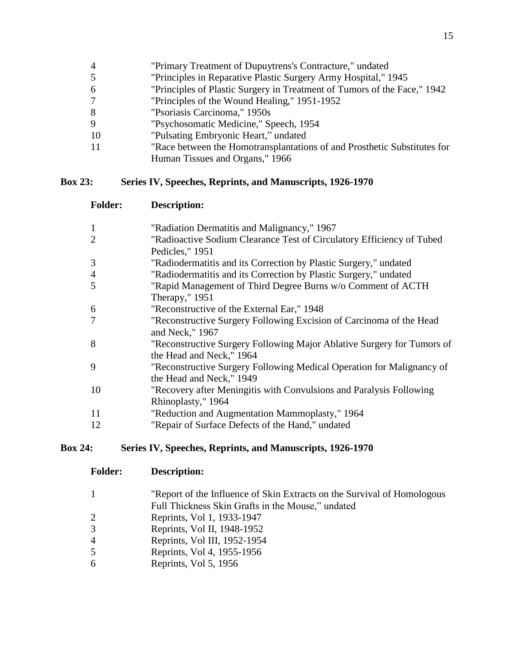- "Primary Treatment of Dupuytrens's Contracture," undated
- "Principles in Reparative Plastic Surgery Army Hospital," 1945
- "Principles of Plastic Surgery in Treatment of Tumors of the Face," 1942
- "Principles of the Wound Healing," 1951-1952
- "Psoriasis Carcinoma," 1950s
- "Psychosomatic Medicine," Speech, 1954
- "Pulsating Embryonic Heart," undated
- "Race between the Homotransplantations of and Prosthetic Substitutes for Human Tissues and Organs," 1966

# **Box 23: Series IV, Speeches, Reprints, and Manuscripts, 1926-1970**

**Folder: Description:**

| $\mathbf{1}$   | "Radiation Dermatitis and Malignancy," 1967                            |
|----------------|------------------------------------------------------------------------|
|                |                                                                        |
| $\overline{c}$ | "Radioactive Sodium Clearance Test of Circulatory Efficiency of Tubed  |
|                | Pedicles," 1951                                                        |
| 3              | "Radiodermatitis and its Correction by Plastic Surgery," undated       |
| 4              | "Radiodermatitis and its Correction by Plastic Surgery," undated       |
| 5              | "Rapid Management of Third Degree Burns w/o Comment of ACTH            |
|                | Therapy," $1951$                                                       |
| 6              | "Reconstructive of the External Ear," 1948                             |
| 7              | "Reconstructive Surgery Following Excision of Carcinoma of the Head    |
|                | and Neck," 1967                                                        |
| 8              | "Reconstructive Surgery Following Major Ablative Surgery for Tumors of |
|                | the Head and Neck," 1964                                               |
| 9              | "Reconstructive Surgery Following Medical Operation for Malignancy of  |
|                | the Head and Neck," 1949                                               |
| 10             | "Recovery after Meningitis with Convulsions and Paralysis Following    |
|                | Rhinoplasty," 1964                                                     |
| 11             | "Reduction and Augmentation Mammoplasty," 1964                         |
| 12             | "Repair of Surface Defects of the Hand," undated                       |
|                |                                                                        |

## **Box 24: Series IV, Speeches, Reprints, and Manuscripts, 1926-1970**

| "Report of the Influence of Skin Extracts on the Survival of Homologous" |
|--------------------------------------------------------------------------|
| Full Thickness Skin Grafts in the Mouse," undated                        |

- Reprints, Vol 1, 1933-1947
- Reprints, Vol II, 1948-1952
- Reprints, Vol III, 1952-1954
- Reprints, Vol 4, 1955-1956
- Reprints, Vol 5, 1956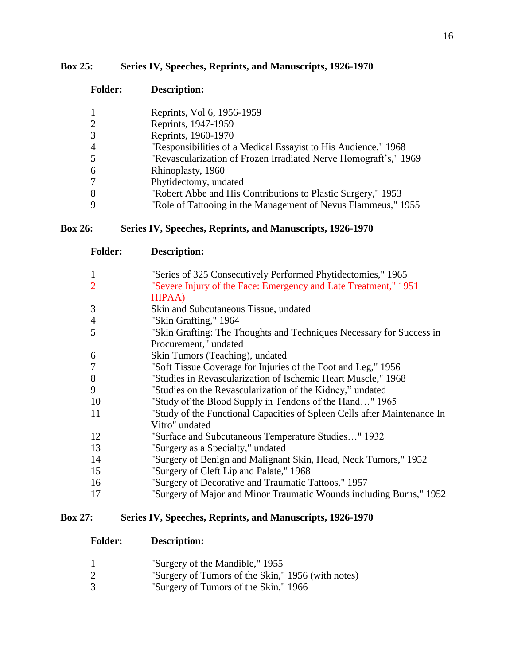## **Box 25: Series IV, Speeches, Reprints, and Manuscripts, 1926-1970**

| <b>Folder:</b> | <b>Description:</b>                                              |
|----------------|------------------------------------------------------------------|
| 1              | Reprints, Vol 6, 1956-1959                                       |
| 2              | Reprints, 1947-1959                                              |
| 3              | Reprints, 1960-1970                                              |
| $\overline{4}$ | "Responsibilities of a Medical Essayist to His Audience," 1968   |
| 5              | "Revascularization of Frozen Irradiated Nerve Homograft's," 1969 |
| 6              | Rhinoplasty, 1960                                                |
| $\overline{7}$ | Phytidectomy, undated                                            |
| 8              | "Robert Abbe and His Contributions to Plastic Surgery," 1953     |
| $\mathbf Q$    | "Role of Tattooing in the Management of Nevus Flammeus," 1955    |

## **Box 26: Series IV, Speeches, Reprints, and Manuscripts, 1926-1970**

| <b>Folder:</b> | <b>Description:</b>                                                      |
|----------------|--------------------------------------------------------------------------|
| $\mathbf{1}$   | "Series of 325 Consecutively Performed Phytidectomies," 1965             |
| $\overline{2}$ | "Severe Injury of the Face: Emergency and Late Treatment," 1951          |
|                | HIPAA)                                                                   |
| 3              | Skin and Subcutaneous Tissue, undated                                    |
| $\overline{4}$ | "Skin Grafting," 1964                                                    |
| 5              | "Skin Grafting: The Thoughts and Techniques Necessary for Success in     |
|                | Procurement," undated                                                    |
| 6              | Skin Tumors (Teaching), undated                                          |
| 7              | "Soft Tissue Coverage for Injuries of the Foot and Leg," 1956            |
| 8              | "Studies in Revascularization of Ischemic Heart Muscle," 1968            |
| 9              | "Studies on the Revascularization of the Kidney," undated                |
| 10             | "Study of the Blood Supply in Tendons of the Hand" 1965                  |
| <sup>11</sup>  | "Study of the Functional Capacities of Spleen Cells after Maintenance In |
|                | Vitro" undated                                                           |
| 12             | "Surface and Subcutaneous Temperature Studies" 1932                      |
| 13             | "Surgery as a Specialty," undated                                        |
| 14             | "Surgery of Benign and Malignant Skin, Head, Neck Tumors," 1952          |
| 15             | "Surgery of Cleft Lip and Palate," 1968                                  |
| 16             | "Surgery of Decorative and Traumatic Tattoos," 1957                      |
| 17             | "Surgery of Major and Minor Traumatic Wounds including Burns," 1952      |
|                |                                                                          |

## **Box 27: Series IV, Speeches, Reprints, and Manuscripts, 1926-1970**

|  | "Surgery of the Mandible," 1955 |  |
|--|---------------------------------|--|
|  |                                 |  |

- 2 "Surgery of Tumors of the Skin," 1956 (with notes)<br>3 "Surgery of Tumors of the Skin," 1966
- "Surgery of Tumors of the Skin," 1966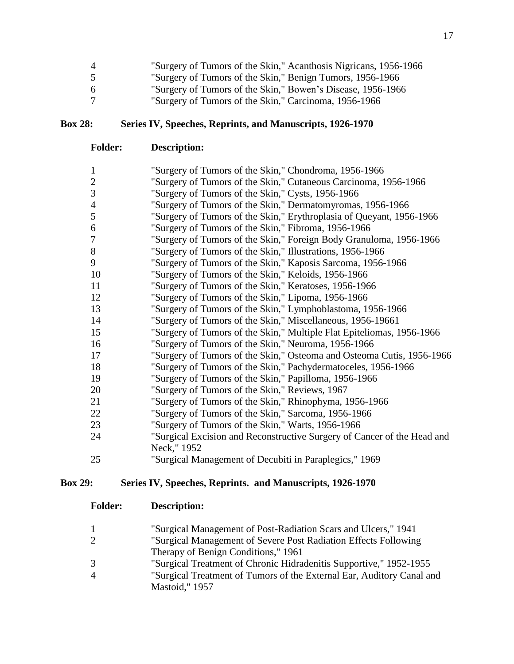| $\overline{4}$ | "Surgery of Tumors of the Skin," Acanthosis Nigricans, 1956-1966 |
|----------------|------------------------------------------------------------------|
|                | "Surgery of Tumors of the Skin," Benign Tumors, 1956-1966        |
| -6             | "Surgery of Tumors of the Skin," Bowen's Disease, 1956-1966      |
|                | "Surgery of Tumors of the Skin," Carcinoma, 1956-1966            |

## **Box 28: Series IV, Speeches, Reprints, and Manuscripts, 1926-1970**

**Folder: Description:**

| $\mathbf{1}$   | "Surgery of Tumors of the Skin," Chondroma, 1956-1966                   |
|----------------|-------------------------------------------------------------------------|
| $\overline{2}$ | "Surgery of Tumors of the Skin," Cutaneous Carcinoma, 1956-1966         |
| 3              | "Surgery of Tumors of the Skin," Cysts, 1956-1966                       |
| 4              | "Surgery of Tumors of the Skin," Dermatomyromas, 1956-1966              |
| 5              | "Surgery of Tumors of the Skin," Erythroplasia of Queyant, 1956-1966    |
| 6              | "Surgery of Tumors of the Skin," Fibroma, 1956-1966                     |
| 7              | "Surgery of Tumors of the Skin," Foreign Body Granuloma, 1956-1966      |
| $8\,$          | "Surgery of Tumors of the Skin," Illustrations, 1956-1966               |
| 9              | "Surgery of Tumors of the Skin," Kaposis Sarcoma, 1956-1966             |
| 10             | "Surgery of Tumors of the Skin," Keloids, 1956-1966                     |
| 11             | "Surgery of Tumors of the Skin," Keratoses, 1956-1966                   |
| 12             | "Surgery of Tumors of the Skin," Lipoma, 1956-1966                      |
| 13             | "Surgery of Tumors of the Skin," Lymphoblastoma, 1956-1966              |
| 14             | "Surgery of Tumors of the Skin," Miscellaneous, 1956-19661              |
| 15             | "Surgery of Tumors of the Skin," Multiple Flat Epiteliomas, 1956-1966   |
| 16             | "Surgery of Tumors of the Skin," Neuroma, 1956-1966                     |
| 17             | "Surgery of Tumors of the Skin," Osteoma and Osteoma Cutis, 1956-1966   |
| 18             | "Surgery of Tumors of the Skin," Pachydermatoceles, 1956-1966           |
| 19             | "Surgery of Tumors of the Skin," Papilloma, 1956-1966                   |
| 20             | "Surgery of Tumors of the Skin," Reviews, 1967                          |
| 21             | "Surgery of Tumors of the Skin," Rhinophyma, 1956-1966                  |
| 22             | "Surgery of Tumors of the Skin," Sarcoma, 1956-1966                     |
| 23             | "Surgery of Tumors of the Skin," Warts, 1956-1966                       |
| 24             | "Surgical Excision and Reconstructive Surgery of Cancer of the Head and |
|                | Neck," 1952                                                             |
| 25             | "Surgical Management of Decubiti in Paraplegics," 1969                  |

# **Box 29: Series IV, Speeches, Reprints. and Manuscripts, 1926-1970**

| 1 | "Surgical Management of Post-Radiation Scars and Ulcers," 1941        |
|---|-----------------------------------------------------------------------|
|   | "Surgical Management of Severe Post Radiation Effects Following       |
|   | Therapy of Benign Conditions," 1961                                   |
|   | "Surgical Treatment of Chronic Hidradenitis Supportive," 1952-1955    |
| 4 | "Surgical Treatment of Tumors of the External Ear, Auditory Canal and |
|   | Mastoid," 1957                                                        |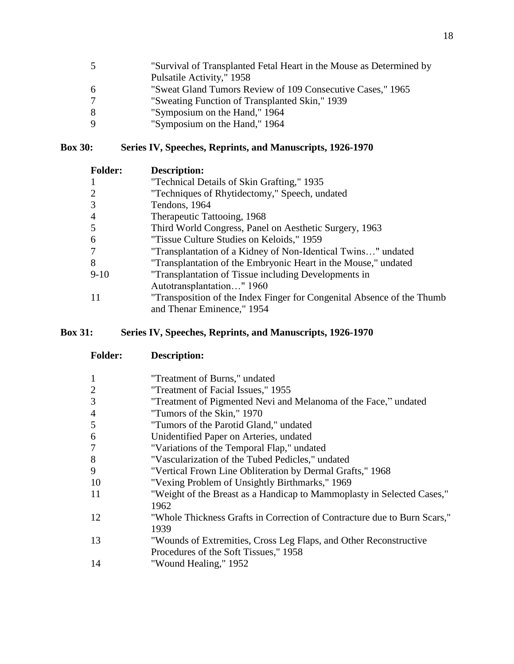| -5 | "Survival of Transplanted Fetal Heart in the Mouse as Determined by |
|----|---------------------------------------------------------------------|
|    | Pulsatile Activity," 1958                                           |
| -6 | "Sweat Gland Tumors Review of 109 Consecutive Cases," 1965          |
|    | "Sweating Function of Transplanted Skin," 1939                      |
| -8 | "Symposium on the Hand," 1964                                       |
| -9 | "Symposium on the Hand," 1964                                       |

## **Box 30: Series IV, Speeches, Reprints, and Manuscripts, 1926-1970**

| <b>Folder:</b> | Description:                                                           |
|----------------|------------------------------------------------------------------------|
| -1             | "Technical Details of Skin Grafting," 1935                             |
| 2              | "Techniques of Rhytidectomy," Speech, undated                          |
| 3              | Tendons, 1964                                                          |
| $\overline{4}$ | Therapeutic Tattooing, 1968                                            |
| 5              | Third World Congress, Panel on Aesthetic Surgery, 1963                 |
| 6              | "Tissue Culture Studies on Keloids," 1959                              |
| 7              | "Transplantation of a Kidney of Non-Identical Twins" undated           |
| 8              | "Transplantation of the Embryonic Heart in the Mouse," undated         |
| $9-10$         | "Transplantation of Tissue including Developments in                   |
|                | Autotransplantation" 1960                                              |
| 11             | "Transposition of the Index Finger for Congenital Absence of the Thumb |
|                | and Thenar Eminence," 1954                                             |

# **Box 31: Series IV, Speeches, Reprints, and Manuscripts, 1926-1970**

| <b>Folder:</b> | Description:                                                                                               |
|----------------|------------------------------------------------------------------------------------------------------------|
|                | "Treatment of Burns," undated                                                                              |
| $\overline{c}$ | "Treatment of Facial Issues," 1955                                                                         |
| 3              | "Treatment of Pigmented Nevi and Melanoma of the Face," undated                                            |
| 4              | "Tumors of the Skin," 1970                                                                                 |
| 5              | "Tumors of the Parotid Gland," undated                                                                     |
| 6              | Unidentified Paper on Arteries, undated                                                                    |
| 7              | "Variations of the Temporal Flap," undated                                                                 |
| 8              | "Vascularization of the Tubed Pedicles," undated                                                           |
| 9              | "Vertical Frown Line Obliteration by Dermal Grafts," 1968                                                  |
| 10             | "Vexing Problem of Unsightly Birthmarks," 1969                                                             |
| 11             | "Weight of the Breast as a Handicap to Mammoplasty in Selected Cases,"<br>1962                             |
| 12             | "Whole Thickness Grafts in Correction of Contracture due to Burn Scars,"<br>1939                           |
| 13             | "Wounds of Extremities, Cross Leg Flaps, and Other Reconstructive<br>Procedures of the Soft Tissues," 1958 |
| 14             | "Wound Healing," 1952                                                                                      |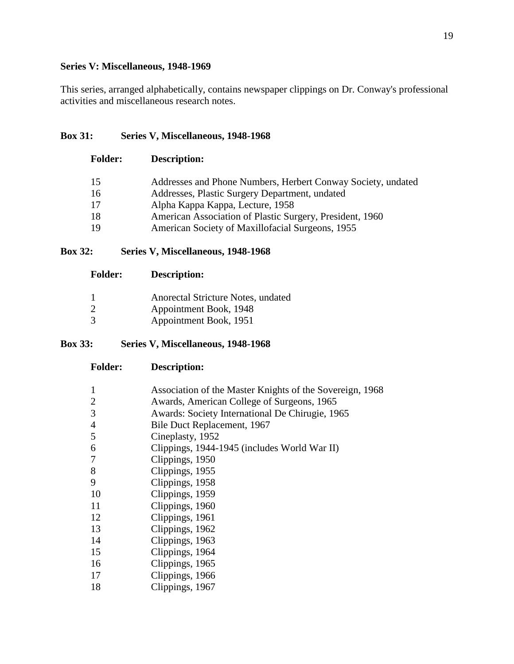## **Series V: Miscellaneous, 1948-1969**

This series, arranged alphabetically, contains newspaper clippings on Dr. Conway's professional activities and miscellaneous research notes.

## **Box 31: Series V, Miscellaneous, 1948-1968**

| <b>Folder:</b> | <b>Description:</b>                                          |
|----------------|--------------------------------------------------------------|
| 15             | Addresses and Phone Numbers, Herbert Conway Society, undated |
| 16             | Addresses, Plastic Surgery Department, undated               |
| 17             | Alpha Kappa Kappa, Lecture, 1958                             |
| 18             | American Association of Plastic Surgery, President, 1960     |
| 19             | American Society of Maxillofacial Surgeons, 1955             |
|                |                                                              |

## **Box 32: Series V, Miscellaneous, 1948-1968**

| <b>Folder:</b> | <b>Description:</b>                |
|----------------|------------------------------------|
|                | Anorectal Stricture Notes, undated |
| $\mathcal{L}$  | Appointment Book, 1948             |
| $\mathcal{R}$  | Appointment Book, 1951             |

## **Box 33: Series V, Miscellaneous, 1948-1968**

| 1              | Association of the Master Knights of the Sovereign, 1968 |
|----------------|----------------------------------------------------------|
| $\overline{2}$ | Awards, American College of Surgeons, 1965               |
| 3              | Awards: Society International De Chirugie, 1965          |
| $\overline{4}$ | Bile Duct Replacement, 1967                              |
| 5              | Cineplasty, 1952                                         |
| 6              | Clippings, 1944-1945 (includes World War II)             |
| 7              | Clippings, 1950                                          |
| 8              | Clippings, 1955                                          |
| 9              | Clippings, 1958                                          |
| 10             | Clippings, 1959                                          |
| 11             | Clippings, 1960                                          |
| 12             | Clippings, 1961                                          |
| 13             | Clippings, 1962                                          |
| 14             | Clippings, 1963                                          |
| 15             | Clippings, 1964                                          |
| 16             | Clippings, 1965                                          |
| 17             | Clippings, 1966                                          |
| 18             | Clippings, 1967                                          |
|                |                                                          |